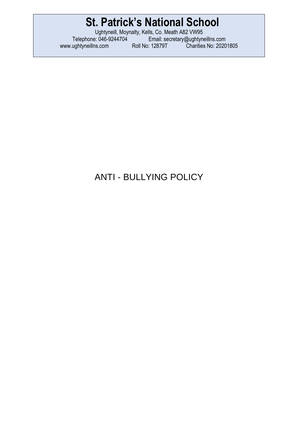Ughtyneill, Moynalty, Kells, Co. Meath A82 VW95 Telephone: 046-9244704 Email: [secretary@ughtyneillns.com](mailto:secretary@ughtyneillns.com)  [www.ughtyneillns.com](http://www.ughtyneillns.com/) Roll No: 12879T Charities No: 20201805

## ANTI - BULLYING POLICY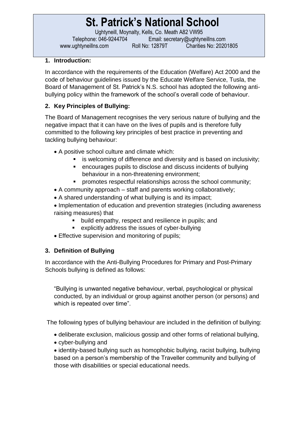Ughtyneill, Moynalty, Kells, Co. Meath A82 VW95 Telephone: 046-9244704 Email: [secretary@ughtyneillns.com](mailto:secretary@ughtyneillns.com)  [www.ughtyneillns.com](http://www.ughtyneillns.com/) Roll No: 12879T Charities No: 20201805

### **1. Introduction:**

In accordance with the requirements of the Education (Welfare) Act 2000 and the code of behaviour guidelines issued by the Educate Welfare Service, Tusla, the Board of Management of St. Patrick's N.S. school has adopted the following antibullying policy within the framework of the school's overall code of behaviour.

### **2. Key Principles of Bullying:**

The Board of Management recognises the very serious nature of bullying and the negative impact that it can have on the lives of pupils and is therefore fully committed to the following key principles of best practice in preventing and tackling bullying behaviour:

- A positive school culture and climate which:
	- is welcoming of difference and diversity and is based on inclusivity;
	- encourages pupils to disclose and discuss incidents of bullying behaviour in a non-threatening environment;
	- **•** promotes respectful relationships across the school community;
- A community approach staff and parents working collaboratively;
- A shared understanding of what bullying is and its impact;
- Implementation of education and prevention strategies (including awareness raising measures) that
	- **•** build empathy, respect and resilience in pupils; and
	- explicitly address the issues of cyber-bullying
- Effective supervision and monitoring of pupils;

### **3. Definition of Bullying**

In accordance with the Anti-Bullying Procedures for Primary and Post-Primary Schools bullying is defined as follows:

"Bullying is unwanted negative behaviour, verbal, psychological or physical conducted, by an individual or group against another person (or persons) and which is repeated over time".

The following types of bullying behaviour are included in the definition of bullying:

- deliberate exclusion, malicious gossip and other forms of relational bullying,
- cyber-bullying and
- identity-based bullying such as homophobic bullying, racist bullying, bullying based on a person's membership of the Traveller community and bullying of those with disabilities or special educational needs.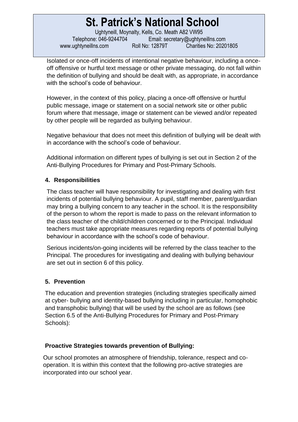Ughtyneill, Moynalty, Kells, Co. Meath A82 VW95 Telephone: 046-9244704 Email: [secretary@ughtyneillns.com](mailto:secretary@ughtyneillns.com)  [www.ughtyneillns.com](http://www.ughtyneillns.com/) Roll No: 12879T Charities No: 20201805

Isolated or once-off incidents of intentional negative behaviour, including a onceoff offensive or hurtful text message or other private messaging, do not fall within the definition of bullying and should be dealt with, as appropriate, in accordance with the school's code of behaviour.

However, in the context of this policy, placing a once-off offensive or hurtful public message, image or statement on a social network site or other public forum where that message, image or statement can be viewed and/or repeated by other people will be regarded as bullying behaviour.

Negative behaviour that does not meet this definition of bullying will be dealt with in accordance with the school's code of behaviour.

Additional information on different types of bullying is set out in Section 2 of the Anti-Bullying Procedures for Primary and Post-Primary Schools.

### **4. Responsibilities**

The class teacher will have responsibility for investigating and dealing with first incidents of potential bullying behaviour. A pupil, staff member, parent/guardian may bring a bullying concern to any teacher in the school. It is the responsibility of the person to whom the report is made to pass on the relevant information to the class teacher of the child/children concerned or to the Principal. Individual teachers must take appropriate measures regarding reports of potential bullying behaviour in accordance with the school's code of behaviour.

Serious incidents/on-going incidents will be referred by the class teacher to the Principal. The procedures for investigating and dealing with bullying behaviour are set out in section 6 of this policy.

### **5. Prevention**

The education and prevention strategies (including strategies specifically aimed at cyber- bullying and identity-based bullying including in particular, homophobic and transphobic bullying) that will be used by the school are as follows (see Section 6.5 of the Anti-Bullying Procedures for Primary and Post-Primary Schools):

### **Proactive Strategies towards prevention of Bullying:**

Our school promotes an atmosphere of friendship, tolerance, respect and cooperation. It is within this context that the following pro-active strategies are incorporated into our school year.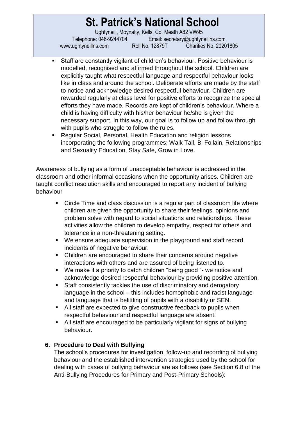Ughtyneill, Moynalty, Kells, Co. Meath A82 VW95 Telephone: 046-9244704 Email: [secretary@ughtyneillns.com](mailto:secretary@ughtyneillns.com)  [www.ughtyneillns.com](http://www.ughtyneillns.com/) Roll No: 12879T Charities No: 20201805

- Staff are constantly vigilant of children's behaviour. Positive behaviour is modelled, recognised and affirmed throughout the school. Children are explicitly taught what respectful language and respectful behaviour looks like in class and around the school. Deliberate efforts are made by the staff to notice and acknowledge desired respectful behaviour. Children are rewarded regularly at class level for positive efforts to recognize the special efforts they have made. Records are kept of children's behaviour. Where a child is having difficulty with his/her behaviour he/she is given the necessary support. In this way, our goal is to follow up and follow through with pupils who struggle to follow the rules.
- Regular Social, Personal, Health Education and religion lessons incorporating the following programmes; Walk Tall, Bi Follain, Relationships and Sexuality Education, Stay Safe, Grow in Love.

Awareness of bullying as a form of unacceptable behaviour is addressed in the classroom and other informal occasions when the opportunity arises. Children are taught conflict resolution skills and encouraged to report any incident of bullying behaviour

- Circle Time and class discussion is a regular part of classroom life where children are given the opportunity to share their feelings, opinions and problem solve with regard to social situations and relationships. These activities allow the children to develop empathy, respect for others and tolerance in a non-threatening setting.
- We ensure adequate supervision in the playground and staff record incidents of negative behaviour.
- Children are encouraged to share their concerns around negative interactions with others and are assured of being listened to.
- We make it a priority to catch children "being good "- we notice and acknowledge desired respectful behaviour by providing positive attention.
- Staff consistently tackles the use of discriminatory and derogatory language in the school – this includes homophobic and racist language and language that is belittling of pupils with a disability or SEN.
- All staff are expected to give constructive feedback to pupils when respectful behaviour and respectful language are absent.
- All staff are encouraged to be particularly vigilant for signs of bullying behaviour.

## **6. Procedure to Deal with Bullying**

The school's procedures for investigation, follow-up and recording of bullying behaviour and the established intervention strategies used by the school for dealing with cases of bullying behaviour are as follows (see Section 6.8 of the Anti-Bullying Procedures for Primary and Post-Primary Schools):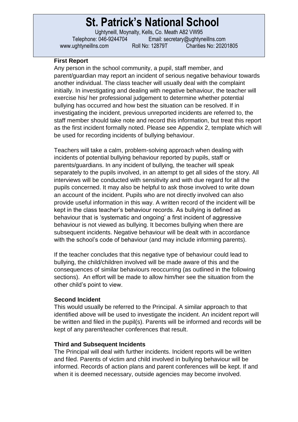Ughtyneill, Moynalty, Kells, Co. Meath A82 VW95 Telephone: 046-9244704 Email: [secretary@ughtyneillns.com](mailto:secretary@ughtyneillns.com)  [www.ughtyneillns.com](http://www.ughtyneillns.com/) Roll No: 12879T Charities No: 20201805

#### **First Report**

Any person in the school community, a pupil, staff member, and parent/guardian may report an incident of serious negative behaviour towards another individual. The class teacher will usually deal with the complaint initially. In investigating and dealing with negative behaviour, the teacher will exercise his/ her professional judgement to determine whether potential bullying has occurred and how best the situation can be resolved. If in investigating the incident, previous unreported incidents are referred to, the staff member should take note and record this information, but treat this report as the first incident formally noted. Please see Appendix 2, template which will be used for recording incidents of bullying behaviour.

Teachers will take a calm, problem-solving approach when dealing with incidents of potential bullying behaviour reported by pupils, staff or parents/guardians. In any incident of bullying, the teacher will speak separately to the pupils involved, in an attempt to get all sides of the story. All interviews will be conducted with sensitivity and with due regard for all the pupils concerned. It may also be helpful to ask those involved to write down an account of the incident. Pupils who are not directly involved can also provide useful information in this way. A written record of the incident will be kept in the class teacher's behaviour records. As bullying is defined as behaviour that is 'systematic and ongoing' a first incident of aggressive behaviour is not viewed as bullying. It becomes bullying when there are subsequent incidents. Negative behaviour will be dealt with in accordance with the school's code of behaviour (and may include informing parents).

If the teacher concludes that this negative type of behaviour could lead to bullying, the child/children involved will be made aware of this and the consequences of similar behaviours reoccurring (as outlined in the following sections). An effort will be made to allow him/her see the situation from the other child's point to view.

#### **Second Incident**

This would usually be referred to the Principal. A similar approach to that identified above will be used to investigate the incident. An incident report will be written and filed in the pupil(s). Parents will be informed and records will be kept of any parent/teacher conferences that result.

#### **Third and Subsequent Incidents**

The Principal will deal with further incidents. Incident reports will be written and filed. Parents of victim and child involved in bullying behaviour will be informed. Records of action plans and parent conferences will be kept. If and when it is deemed necessary, outside agencies may become involved.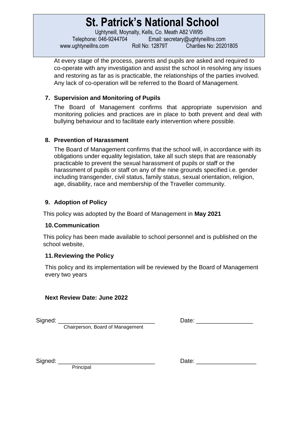Ughtyneill, Moynalty, Kells, Co. Meath A82 VW95 Telephone: 046-9244704 Email: [secretary@ughtyneillns.com](mailto:secretary@ughtyneillns.com)  [www.ughtyneillns.com](http://www.ughtyneillns.com/) Roll No: 12879T Charities No: 20201805

At every stage of the process, parents and pupils are asked and required to co-operate with any investigation and assist the school in resolving any issues and restoring as far as is practicable, the relationships of the parties involved. Any lack of co-operation will be referred to the Board of Management.

### **7. Supervision and Monitoring of Pupils**

The Board of Management confirms that appropriate supervision and monitoring policies and practices are in place to both prevent and deal with bullying behaviour and to facilitate early intervention where possible.

#### **8. Prevention of Harassment**

The Board of Management confirms that the school will, in accordance with its obligations under equality legislation, take all such steps that are reasonably practicable to prevent the sexual harassment of pupils or staff or the harassment of pupils or staff on any of the nine grounds specified i.e. gender including transgender, civil status, family status, sexual orientation, religion, age, disability, race and membership of the Traveller community.

### **9. Adoption of Policy**

This policy was adopted by the Board of Management in **May 2021**

#### **10.Communication**

This policy has been made available to school personnel and is published on the school website,

#### **11.Reviewing the Policy**

This policy and its implementation will be reviewed by the Board of Management every two years

#### **Next Review Date: June 2022**

Chairperson, Board of Management

Signed: \_\_\_\_\_\_\_\_\_\_\_\_\_\_\_\_\_\_\_\_\_\_\_\_\_\_\_\_\_ Date: \_\_\_\_\_\_\_\_\_\_\_\_\_\_\_\_\_

Principal

Signed: \_\_\_\_\_\_\_\_\_\_\_\_\_\_\_\_\_\_\_\_\_\_\_\_\_\_\_\_\_ Date: \_\_\_\_\_\_\_\_\_\_\_\_\_\_\_\_\_\_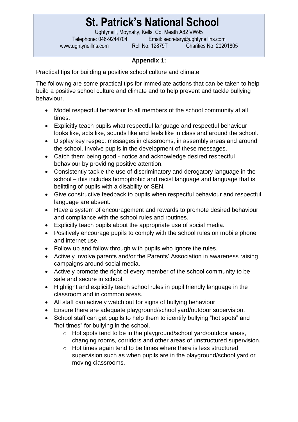Ughtyneill, Moynalty, Kells, Co. Meath A82 VW95

Telephone: 046-9244704 Email: [secretary@ughtyneillns.com](mailto:secretary@ughtyneillns.com)  [www.ughtyneillns.com](http://www.ughtyneillns.com/) Roll No: 12879T Charities No: 20201805

## **Appendix 1:**

Practical tips for building a positive school culture and climate

The following are some practical tips for immediate actions that can be taken to help build a positive school culture and climate and to help prevent and tackle bullying behaviour.

- Model respectful behaviour to all members of the school community at all times.
- Explicitly teach pupils what respectful language and respectful behaviour looks like, acts like, sounds like and feels like in class and around the school.
- Display key respect messages in classrooms, in assembly areas and around the school. Involve pupils in the development of these messages.
- Catch them being good notice and acknowledge desired respectful behaviour by providing positive attention.
- Consistently tackle the use of discriminatory and derogatory language in the school – this includes homophobic and racist language and language that is belittling of pupils with a disability or SEN.
- Give constructive feedback to pupils when respectful behaviour and respectful language are absent.
- Have a system of encouragement and rewards to promote desired behaviour and compliance with the school rules and routines.
- Explicitly teach pupils about the appropriate use of social media.
- Positively encourage pupils to comply with the school rules on mobile phone and internet use.
- Follow up and follow through with pupils who ignore the rules.
- Actively involve parents and/or the Parents' Association in awareness raising campaigns around social media.
- Actively promote the right of every member of the school community to be safe and secure in school.
- Highlight and explicitly teach school rules in pupil friendly language in the classroom and in common areas.
- All staff can actively watch out for signs of bullying behaviour.
- Ensure there are adequate playground/school yard/outdoor supervision.
- School staff can get pupils to help them to identify bullying "hot spots" and "hot times" for bullying in the school.
	- o Hot spots tend to be in the playground/school yard/outdoor areas, changing rooms, corridors and other areas of unstructured supervision.
	- o Hot times again tend to be times where there is less structured supervision such as when pupils are in the playground/school yard or moving classrooms.